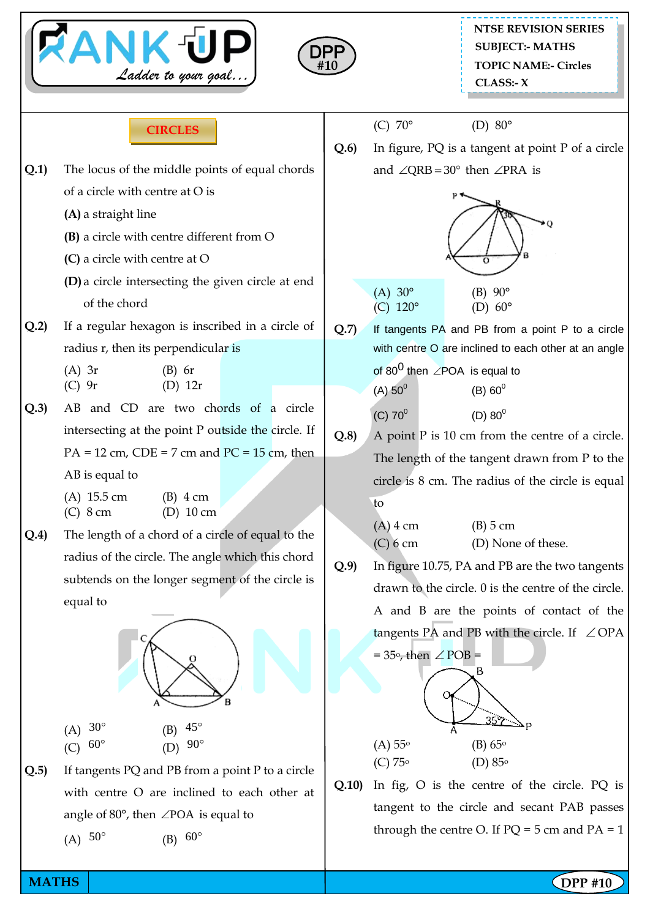



| <b>CIRCLES</b> |  |
|----------------|--|
|                |  |

- **Q.1)** The locus of the middle points of equal chords of a circle with centre at O is
	- **(A)** a straight line
	- **(B)** a circle with centre different from O
	- **(C)** a circle with centre at O
	- **(D)** a circle intersecting the given circle at end of the chord
- **Q.2)** If a regular hexagon is inscribed in a circle of radius r, then its perpendicular is

(A) 3r (B) 6r (C) 9r (D) 12r

**Q.3)** AB and CD are two chords of a circle intersecting at the point P outside the circle. If  $PA = 12$  cm,  $CDE = 7$  cm and  $PC = 15$  cm, then AB is equal to

| $(A)$ 15.5 cm | $(B)$ 4 cm  |
|---------------|-------------|
| $(C)$ 8 cm    | $(D)$ 10 cm |

**Q.4)** The length of a chord of a circle of equal to the radius of the circle. The angle which this chord subtends on the longer segment of the circle is equal to



- (A)  $30^{\circ}$ (B)  $45^{\circ}$ (D)  $90^{\circ}$
- $(C)$  $60^{\circ}$
- **Q.5)** If tangents PQ and PB from a point P to a circle with centre O are inclined to each other at angle of  $80^{\circ}$ , then  $\angle$ POA is equal to

(B)  $60^{\circ}$ 

(A)  $50^{\circ}$ 

```
(C) 70^{\circ} (D) 80^{\circ}
```
**Q.6)** In figure, PQ is a tangent at point P of a circle and  $\angle$ QRB = 30° then  $\angle$ PRA is



- (A)  $30^{\circ}$  (B)  $90^{\circ}$ (C)  $120^{\circ}$  (D)  $60^{\circ}$
- **Q.7)** If tangents PA and PB from a point P to a circle with centre O are inclined to each other at an angle of 80<sup>0</sup> then  $\angle$ POA is equal to  $(A) 50^0$  $(B) 60^0$  $(C) 70^0$  $(D) 80^0$
- **Q.8)** A point P is 10 cm from the centre of a circle. The length of the tangent drawn from P to the circle is 8 cm. The radius of the circle is equal to

(A) 4 cm (B) 5 cm (C) 6 cm (D) None of these.

**Q.9)** In figure 10.75, PA and PB are the two tangents drawn to the circle. 0 is the centre of the circle. A and B are the points of contact of the tangents PA and PB with the circle. If  $\angle$  OPA



**Q.10)** In fig, O is the centre of the circle. PQ is tangent to the circle and secant PAB passes through the centre O. If  $PO = 5$  cm and  $PA = 1$ 

**MATHS NATHS Example 2018**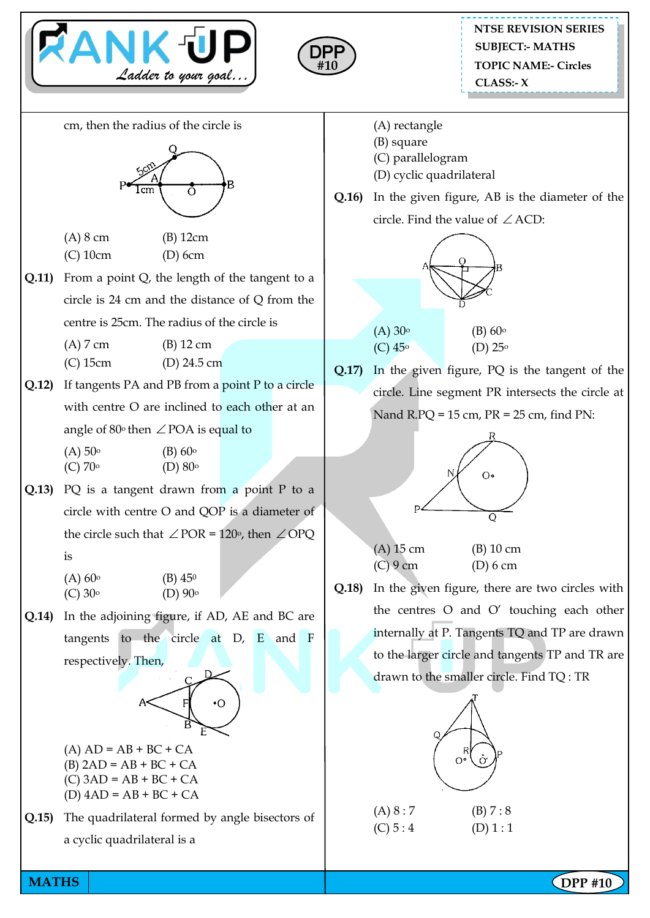



cm, then the radius of the circle is



(A) 8 cm (B) 12cm (C) 10cm (D) 6cm

**Q.11)** From a point Q, the length of the tangent to a circle is 24 cm and the distance of Q from the centre is 25cm. The radius of the circle is

(A) 7 cm (B) 12 cm

(C) 15cm (D) 24.5 cm

**Q.12)** If tangents PA and PB from a point P to a circle with centre O are inclined to each other at an angle of  $80^{\circ}$  then  $\angle$  POA is equal to

 $(A) 50°$  (B) 60<sup>o</sup> (C)  $70^{\circ}$  (D)  $80^{\circ}$ 

- **Q.13)** PQ is a tangent drawn from a point P to a circle with centre O and QOP is a diameter of the circle such that  $\angle$  POR = 120°, then  $\angle$  OPQ is
	- $(A) 60^{\circ}$  (B)  $45^{\circ}$  $(C) 30^{\circ}$   $(D) 90^{\circ}$
- **Q.14)** In the adjoining figure, if AD, AE and BC are tangents to the circle at D, E and F respectively. Then,



- $(A) AD = AB + BC + CA$  $(B)$  2AD = AB + BC + CA  $(C)$  3AD = AB + BC + CA  $(D)$  4AD = AB + BC + CA
- **Q.15)** The quadrilateral formed by angle bisectors of a cyclic quadrilateral is a
- (A) rectangle
- (B) square
- (C) parallelogram
- (D) cyclic quadrilateral
- **Q.16)** In the given figure, AB is the diameter of the circle. Find the value of  $\angle$  ACD:



**Q.17)** In the given figure, PQ is the tangent of the circle. Line segment PR intersects the circle at Nand R.PQ = 15 cm, PR = 25 cm, find PN:



(A) 15 cm (B) 10 cm (C) 9 cm (D) 6 cm

**Q.18)** In the given figure, there are two circles with the centres O and O' touching each other internally at P. Tangents TQ and TP are drawn to the larger circle and tangents TP and TR are drawn to the smaller circle. Find TQ : TR

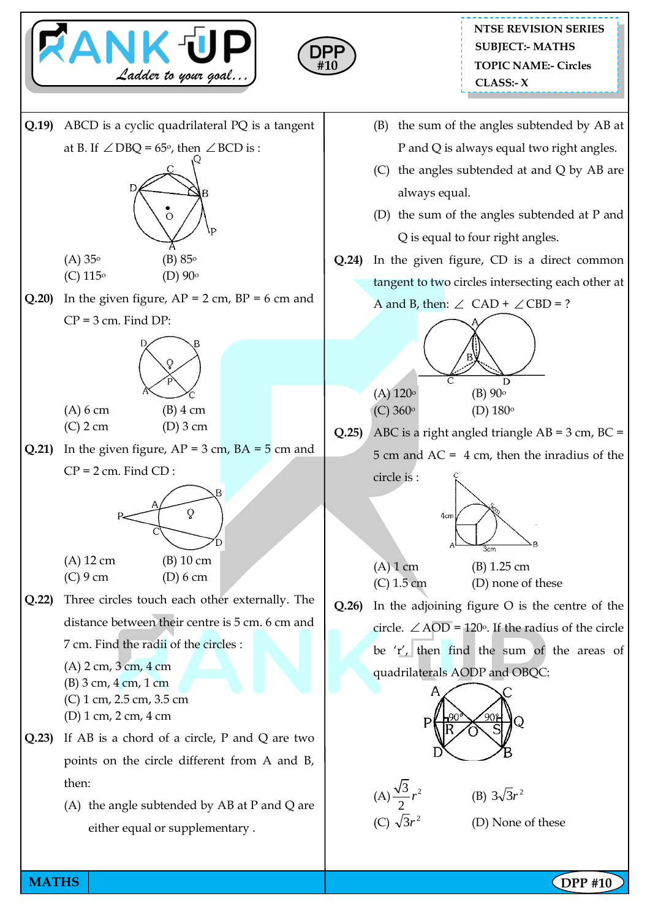



**Q.19)** ABCD is a cyclic quadrilateral PQ is a tangent at B. If  $\angle$  DBQ = 65°, then  $\angle$  BCD is :  $(A) 35^{\circ}$  (B)  $85^{\circ}$ (C)  $115^{\circ}$  (D)  $90^{\circ}$ **Q.20)** In the given figure,  $AP = 2$  cm,  $BP = 6$  cm and  $CP = 3$  cm. Find  $DP$ : (A) 6 cm (B) 4 cm (C) 2 cm (D) 3 cm **Q.21)** In the given figure,  $AP = 3$  cm,  $BA = 5$  cm and  $CP = 2$  cm. Find  $CD$ : (A) 12 cm (B) 10 cm (C) 9 cm (D) 6 cm **Q.22)** Three circles touch each other externally. The distance between their centre is 5 cm. 6 cm and 7 cm. Find the radii of the circles : (A) 2 cm, 3 cm, 4 cm (B) 3 cm, 4 cm, 1 cm (C) 1 cm, 2.5 cm, 3.5 cm (D) 1 cm, 2 cm, 4 cm **Q.23)** If AB is a chord of a circle, P and Q are two points on the circle different from A and B, then: (A) the angle subtended by AB at P and Q are either equal or supplementary .

- (B) the sum of the angles subtended by AB at P and Q is always equal two right angles.
- (C) the angles subtended at and Q by AB are always equal.
- (D) the sum of the angles subtended at P and Q is equal to four right angles.
- **Q.24)** In the given figure, CD is a direct common tangent to two circles intersecting each other at





**Q.25)** ABC is a right angled triangle AB = 3 cm, BC = 5 cm and AC = 4 cm, then the inradius of the





```
(A) 1 cm (B) 1.25 cm
(C) 1.5 cm (D) none of these
```
**Q.26)** In the adjoining figure O is the centre of the circle.  $\angle$  AOD = 120°. If the radius of the circle be 'r', then find the sum of the areas of quadrilaterals AODP and OBQC:





(B)  $3\sqrt{3}r^2$ (D) None of these

**MATHS NATHS Example 2018**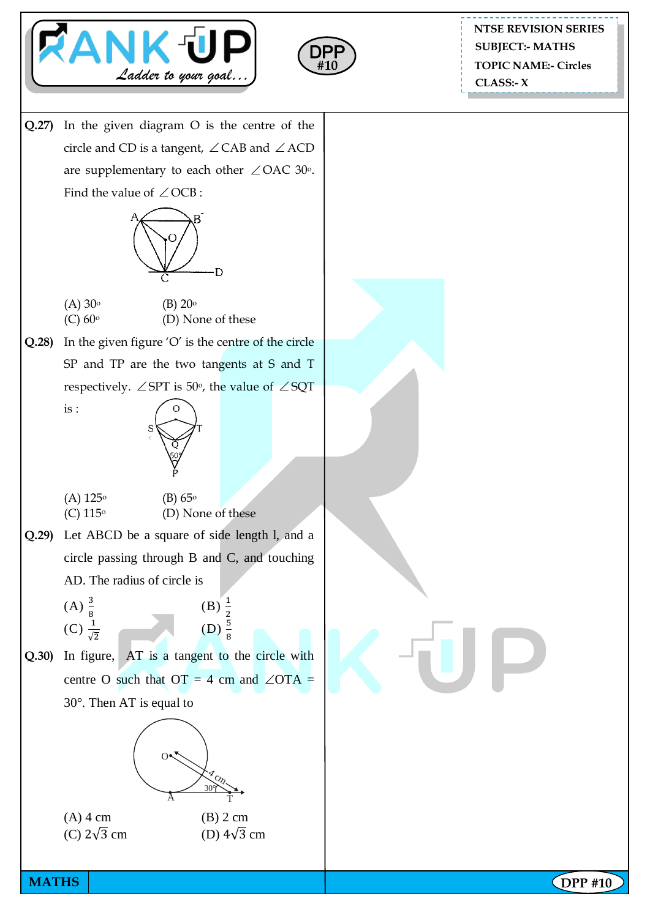



**NTSE REVISION SERIES TOPIC NAME:- Circles CLASS:- X SUBJECT:- MATHS**

**Q.27)** In the given diagram O is the centre of the circle and CD is a tangent,  $\angle$  CAB and  $\angle$  ACD are supplementary to each other  $\angle$  OAC 30°. Find the value of  $\angle$  OCB :



- $(A) 30^{\circ}$  (B)  $20^{\circ}$  $(C)$  60<sup>o</sup> (D) None of these
- **Q.28)** In the given figure 'O' is the centre of the circle SP and TP are the two tangents at S and T respectively.  $\angle$  SPT is 50°, the value of  $\angle$  SQT



 $(A)$  125<sup>o</sup> (B) 65<sup>o</sup>  $(C)$  115<sup>o</sup> (D) None of these

is :

- **Q.29)** Let ABCD be a square of side length l, and a circle passing through B and C, and touching AD. The radius of circle is
	- $(A) \frac{3}{8}$  $(B) \frac{1}{2}$  $(C) \frac{1}{\sqrt{2}}$  $(D) \frac{5}{8}$
- **Q.30)** In figure, AT is a tangent to the circle with centre O such that  $OT = 4$  cm and  $\angle OTA =$ 30°. Then AT is equal to



(C)  $2\sqrt{3}$  cm (D)  $4\sqrt{3}$  cm